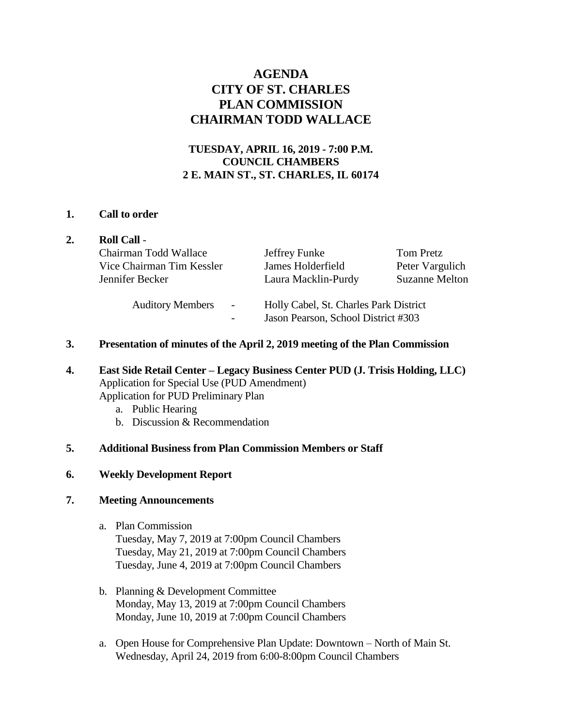# **AGENDA CITY OF ST. CHARLES PLAN COMMISSION CHAIRMAN TODD WALLACE**

## **TUESDAY, APRIL 16, 2019 - 7:00 P.M. COUNCIL CHAMBERS 2 E. MAIN ST., ST. CHARLES, IL 60174**

## **1. Call to order**

|  | <b>Roll Call -</b>                                  |                                                                               |                              |
|--|-----------------------------------------------------|-------------------------------------------------------------------------------|------------------------------|
|  | Chairman Todd Wallace<br>Vice Chairman Tim Kessler  | Jeffrey Funke<br>James Holderfield                                            | Tom Pretz<br>Peter Vargulich |
|  | Jennifer Becker                                     | Laura Macklin-Purdy                                                           | <b>Suzanne Melton</b>        |
|  | <b>Auditory Members</b><br>$\overline{\phantom{a}}$ | Holly Cabel, St. Charles Park District<br>Jason Pearson, School District #303 |                              |

- **3. Presentation of minutes of the April 2, 2019 meeting of the Plan Commission**
- **4. East Side Retail Center – Legacy Business Center PUD (J. Trisis Holding, LLC)**  Application for Special Use (PUD Amendment) Application for PUD Preliminary Plan
	- a. Public Hearing
	- b. Discussion & Recommendation

## **5. Additional Business from Plan Commission Members or Staff**

## **6. Weekly Development Report**

## **7. Meeting Announcements**

- a. Plan Commission Tuesday, May 7, 2019 at 7:00pm Council Chambers Tuesday, May 21, 2019 at 7:00pm Council Chambers Tuesday, June 4, 2019 at 7:00pm Council Chambers
- b. Planning & Development Committee Monday, May 13, 2019 at 7:00pm Council Chambers Monday, June 10, 2019 at 7:00pm Council Chambers
- a. Open House for Comprehensive Plan Update: Downtown North of Main St. Wednesday, April 24, 2019 from 6:00-8:00pm Council Chambers